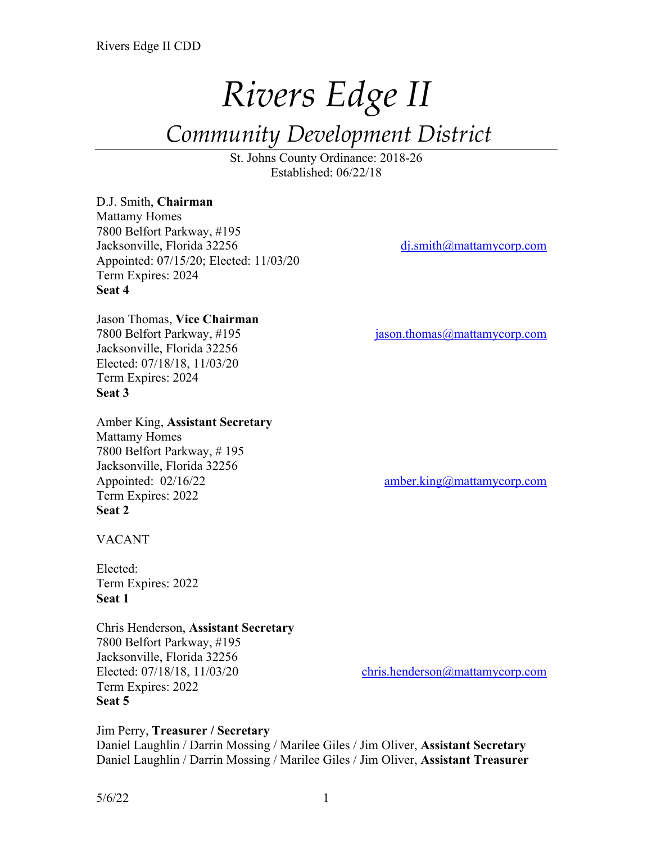# *Rivers Edge II*

# *Community Development District*

St. Johns County Ordinance: 2018-26 Established: 06/22/18

#### D.J. Smith, **Chairman**

Mattamy Homes 7800 Belfort Parkway, #195 Jacksonville, Florida 32256 dj.smith@mattamycorp.com Appointed: 07/15/20; Elected: 11/03/20 Term Expires: 2024 **Seat 4**

# Jason Thomas, **Vice Chairman**

Jacksonville, Florida 32256 Elected: 07/18/18, 11/03/20 Term Expires: 2024 **Seat 3**

Amber King, **Assistant Secretary** Mattamy Homes 7800 Belfort Parkway, # 195 Jacksonville, Florida 32256 Appointed: 02/16/22 amber.king@mattamycorp.com Term Expires: 2022 **Seat 2**

7800 Belfort Parkway, #195 jason.thomas@mattamycorp.com

VACANT

Elected: Term Expires: 2022 **Seat 1**

Chris Henderson, **Assistant Secretary** 7800 Belfort Parkway, #195 Jacksonville, Florida 32256 Elected: 07/18/18, 11/03/20 chris.henderson@mattamycorp.com Term Expires: 2022 **Seat 5**

#### Jim Perry, **Treasurer / Secretary**

Daniel Laughlin / Darrin Mossing / Marilee Giles / Jim Oliver, **Assistant Secretary** Daniel Laughlin / Darrin Mossing / Marilee Giles / Jim Oliver, **Assistant Treasurer**